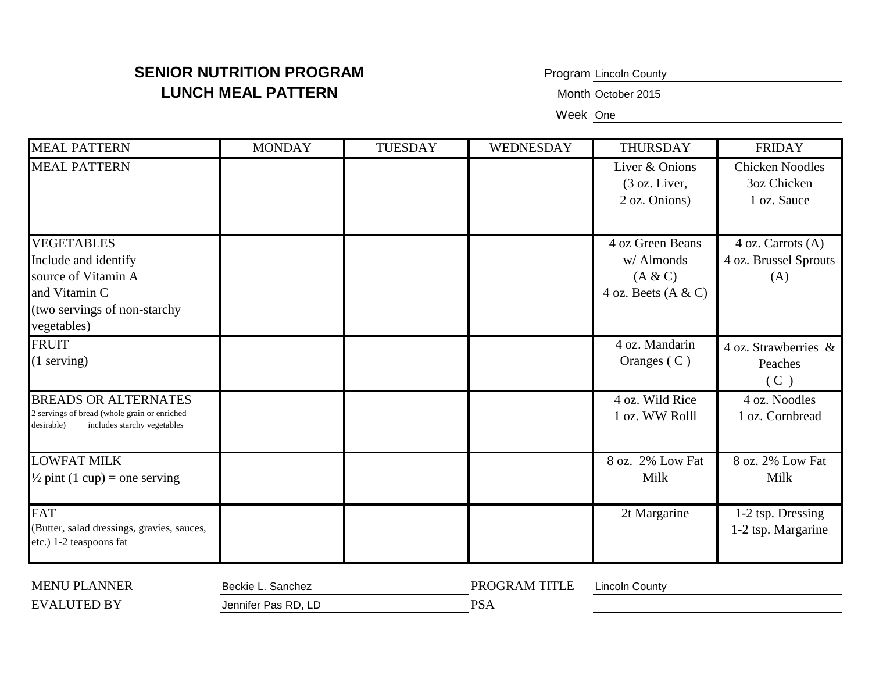Program Lincoln County

Month October 2015

Week One

| <b>MEAL PATTERN</b>                                                                                                              | <b>MONDAY</b> | <b>TUESDAY</b> | WEDNESDAY | THURSDAY                                                           | <b>FRIDAY</b>                                        |
|----------------------------------------------------------------------------------------------------------------------------------|---------------|----------------|-----------|--------------------------------------------------------------------|------------------------------------------------------|
| <b>MEAL PATTERN</b>                                                                                                              |               |                |           | Liver & Onions<br>$(3 \text{ oz. Liver},$<br>2 oz. Onions)         | <b>Chicken Noodles</b><br>3oz Chicken<br>1 oz. Sauce |
| <b>VEGETABLES</b><br>Include and identify<br>source of Vitamin A<br>and Vitamin C<br>(two servings of non-starchy<br>vegetables) |               |                |           | 4 oz Green Beans<br>w/ Almonds<br>(A & C)<br>4 oz. Beets $(A & C)$ | 4 oz. Carrots (A)<br>4 oz. Brussel Sprouts<br>(A)    |
| <b>FRUIT</b><br>$(1$ serving)                                                                                                    |               |                |           | 4 oz. Mandarin<br>Oranges $(C)$                                    | 4 oz. Strawberries $\&$<br>Peaches<br>(C)            |
| <b>BREADS OR ALTERNATES</b><br>2 servings of bread (whole grain or enriched<br>includes starchy vegetables<br>desirable)         |               |                |           | 4 oz. Wild Rice<br>1 oz. WW Rolll                                  | 4 oz. Noodles<br>1 oz. Cornbread                     |
| <b>LOWFAT MILK</b><br>$\frac{1}{2}$ pint (1 cup) = one serving                                                                   |               |                |           | 8 oz. 2% Low Fat<br>Milk                                           | 8 oz. 2% Low Fat<br>Milk                             |
| <b>FAT</b><br>(Butter, salad dressings, gravies, sauces,<br>etc.) 1-2 teaspoons fat                                              |               |                |           | 2t Margarine                                                       | 1-2 tsp. Dressing<br>1-2 tsp. Margarine              |

| <b>MENU PLANNER</b> | Beckie I<br>Sanchez | PROGRAM TITLE | Lincoln Countv |
|---------------------|---------------------|---------------|----------------|
| EVAI<br>LUTED BY    | Jennifer Pas RD, LD | PSA           |                |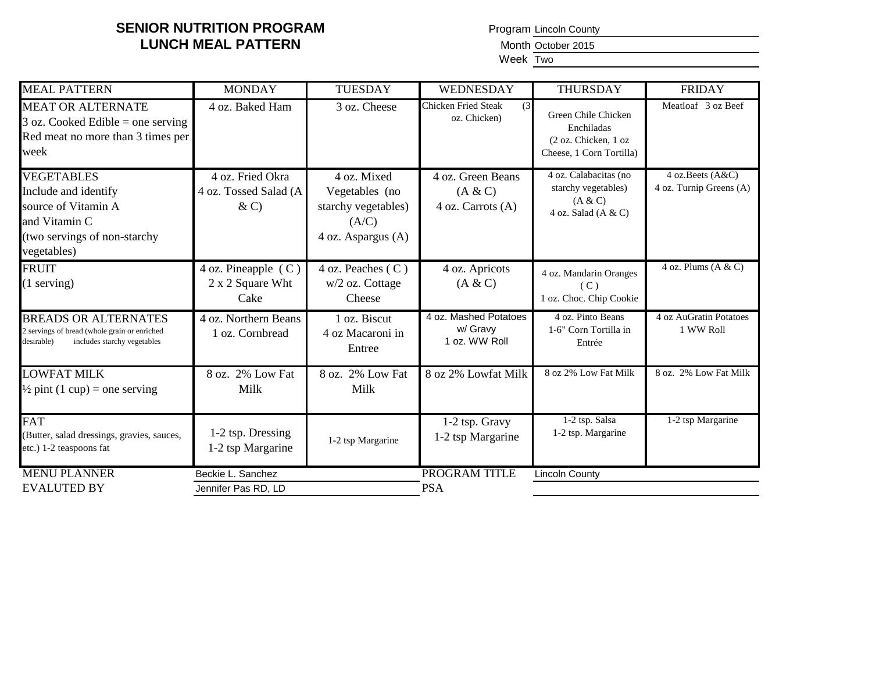Program Lincoln County

Month October 2015

Week Two

| <b>MEAL PATTERN</b>                                                                                                              | <b>MONDAY</b>                                        | <b>TUESDAY</b>                                                                      | WEDNESDAY                                          | <b>THURSDAY</b>                                                                       | <b>FRIDAY</b>                                |
|----------------------------------------------------------------------------------------------------------------------------------|------------------------------------------------------|-------------------------------------------------------------------------------------|----------------------------------------------------|---------------------------------------------------------------------------------------|----------------------------------------------|
| <b>MEAT OR ALTERNATE</b><br>$3$ oz. Cooked Edible = one serving<br>Red meat no more than 3 times per<br>week                     | 4 oz. Baked Ham                                      | 3 oz. Cheese                                                                        | <b>Chicken Fried Steak</b><br>(3)<br>oz. Chicken)  | Green Chile Chicken<br>Enchiladas<br>(2 oz. Chicken, 1 oz<br>Cheese, 1 Corn Tortilla) | Meatloaf 3 oz Beef                           |
| <b>VEGETABLES</b><br>Include and identify<br>source of Vitamin A<br>and Vitamin C<br>(two servings of non-starchy<br>vegetables) | 4 oz. Fried Okra<br>4 oz. Tossed Salad (A<br>$\& C)$ | 4 oz. Mixed<br>Vegetables (no<br>starchy vegetables)<br>(A/C)<br>4 oz. Aspargus (A) | 4 oz. Green Beans<br>(A & C)<br>4 oz. Carrots (A)  | 4 oz. Calabacitas (no<br>starchy vegetables)<br>(A & C)<br>4 oz. Salad $(A & C)$      | 4 oz. Beets (A&C)<br>4 oz. Turnip Greens (A) |
| <b>FRUIT</b><br>$(1$ serving)                                                                                                    | 4 oz. Pineapple (C)<br>2 x 2 Square Wht<br>Cake      | 4 oz. Peaches (C)<br>w/2 oz. Cottage<br>Cheese                                      | 4 oz. Apricots<br>(A & C)                          | 4 oz. Mandarin Oranges<br>(C)<br>1 oz. Choc. Chip Cookie                              | 4 oz. Plums $(A & C)$                        |
| <b>BREADS OR ALTERNATES</b><br>2 servings of bread (whole grain or enriched<br>includes starchy vegetables<br>desirable)         | 4 oz. Northern Beans<br>1 oz. Cornbread              | 1 oz. Biscut<br>4 oz Macaroni in<br>Entree                                          | 4 oz. Mashed Potatoes<br>w/ Gravy<br>1 oz. WW Roll | 4 oz. Pinto Beans<br>1-6" Corn Tortilla in<br>Entrée                                  | 4 oz AuGratin Potatoes<br>1 WW Roll          |
| <b>LOWFAT MILK</b><br>$\frac{1}{2}$ pint (1 cup) = one serving                                                                   | 8 oz. 2% Low Fat<br>Milk                             | 8 oz. 2% Low Fat<br>Milk                                                            | 8 oz 2% Lowfat Milk                                | 8 oz 2% Low Fat Milk                                                                  | 8 oz. 2% Low Fat Milk                        |
| <b>FAT</b><br>(Butter, salad dressings, gravies, sauces,<br>etc.) 1-2 teaspoons fat                                              | 1-2 tsp. Dressing<br>1-2 tsp Margarine               | 1-2 tsp Margarine                                                                   | 1-2 tsp. Gravy<br>1-2 tsp Margarine                | 1-2 tsp. Salsa<br>1-2 tsp. Margarine                                                  | 1-2 tsp Margarine                            |
| <b>MENU PLANNER</b><br><b>EVALUTED BY</b>                                                                                        | Beckie L. Sanchez<br>Jennifer Pas RD, LD             |                                                                                     | <b>PROGRAM TITLE</b><br><b>PSA</b>                 | <b>Lincoln County</b>                                                                 |                                              |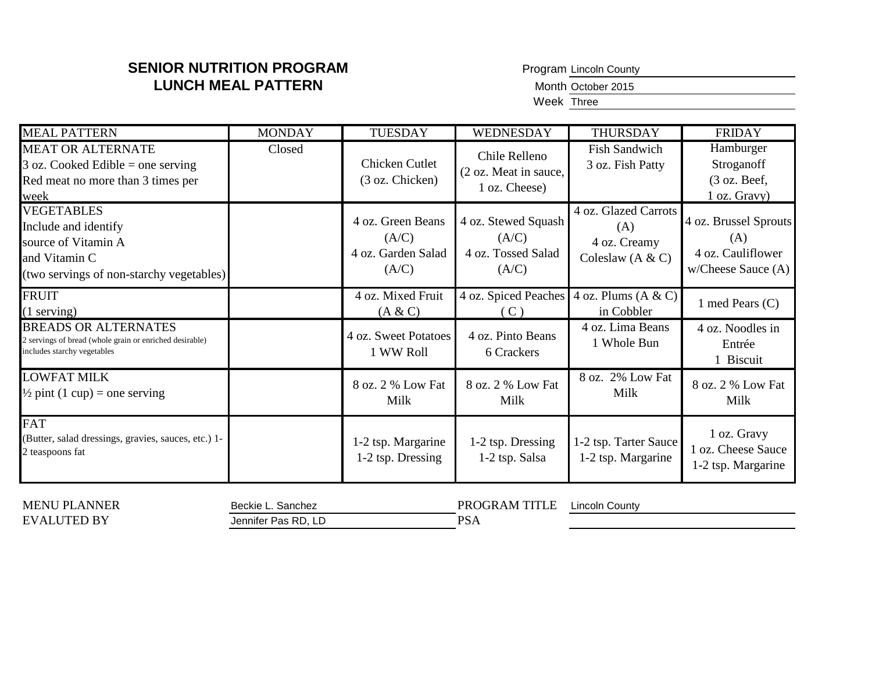Program Lincoln County

Month October 2015

Week Three

| <b>MEAL PATTERN</b>                                                                                                           | <b>MONDAY</b> | <b>TUESDAY</b>                                            | WEDNESDAY                                                   | <b>THURSDAY</b>                                                   | <b>FRIDAY</b>                                                                |
|-------------------------------------------------------------------------------------------------------------------------------|---------------|-----------------------------------------------------------|-------------------------------------------------------------|-------------------------------------------------------------------|------------------------------------------------------------------------------|
| <b>MEAT OR ALTERNATE</b><br>$3$ oz. Cooked Edible = one serving<br>Red meat no more than 3 times per<br>week                  | Closed        | Chicken Cutlet<br>(3 oz. Chicken)                         | Chile Relleno<br>(2 oz. Meat in sauce,<br>1 oz. Cheese)     | <b>Fish Sandwich</b><br>3 oz. Fish Patty                          | Hamburger<br>Stroganoff<br>$(3 \text{ oz. }$ Beef,<br>1 oz. Gravy)           |
| <b>VEGETABLES</b><br>Include and identify<br>source of Vitamin A<br>and Vitamin C<br>(two servings of non-starchy vegetables) |               | 4 oz. Green Beans<br>(A/C)<br>4 oz. Garden Salad<br>(A/C) | 4 oz. Stewed Squash<br>(A/C)<br>4 oz. Tossed Salad<br>(A/C) | 4 oz. Glazed Carrots<br>(A)<br>4 oz. Creamy<br>Coleslaw $(A & C)$ | 4 oz. Brussel Sprouts<br>(A)<br>4 oz. Cauliflower<br>$w$ /Cheese Sauce $(A)$ |
| <b>FRUIT</b><br>$(1$ serving)                                                                                                 |               | 4 oz. Mixed Fruit<br>(A & C)                              | 4 oz. Spiced Peaches<br>$\mathcal{C}$ )                     | 4 oz. Plums $(A & C)$<br>in Cobbler                               | 1 med Pears (C)                                                              |
| <b>BREADS OR ALTERNATES</b><br>2 servings of bread (whole grain or enriched desirable)<br>includes starchy vegetables         |               | 4 oz. Sweet Potatoes<br>1 WW Roll                         | 4 oz. Pinto Beans<br>6 Crackers                             | 4 oz. Lima Beans<br>1 Whole Bun                                   | 4 oz. Noodles in<br>Entrée<br>1 Biscuit                                      |
| <b>LOWFAT MILK</b><br>$\frac{1}{2}$ pint (1 cup) = one serving                                                                |               | 8 oz. 2 % Low Fat<br>Milk                                 | 8 oz. 2 % Low Fat<br>Milk                                   | 8 oz. 2% Low Fat<br>Milk                                          | 8 oz. 2 % Low Fat<br>Milk                                                    |
| <b>FAT</b><br>(Butter, salad dressings, gravies, sauces, etc.) 1-<br>2 teaspoons fat                                          |               | 1-2 tsp. Margarine<br>1-2 tsp. Dressing                   | 1-2 tsp. Dressing<br>1-2 tsp. Salsa                         | 1-2 tsp. Tarter Sauce<br>1-2 tsp. Margarine                       | 1 oz. Gravy<br>1 oz. Cheese Sauce<br>1-2 tsp. Margarine                      |

| ANNER<br>MENU<br>DI.   | Beckie L<br>Sanchez | TITLE<br>PR.<br>IGRAM | County<br>.incoln. |
|------------------------|---------------------|-----------------------|--------------------|
| <b>EVAL</b><br>HTED RY | Jennifer Pas RD,    | DC<br>'NA             |                    |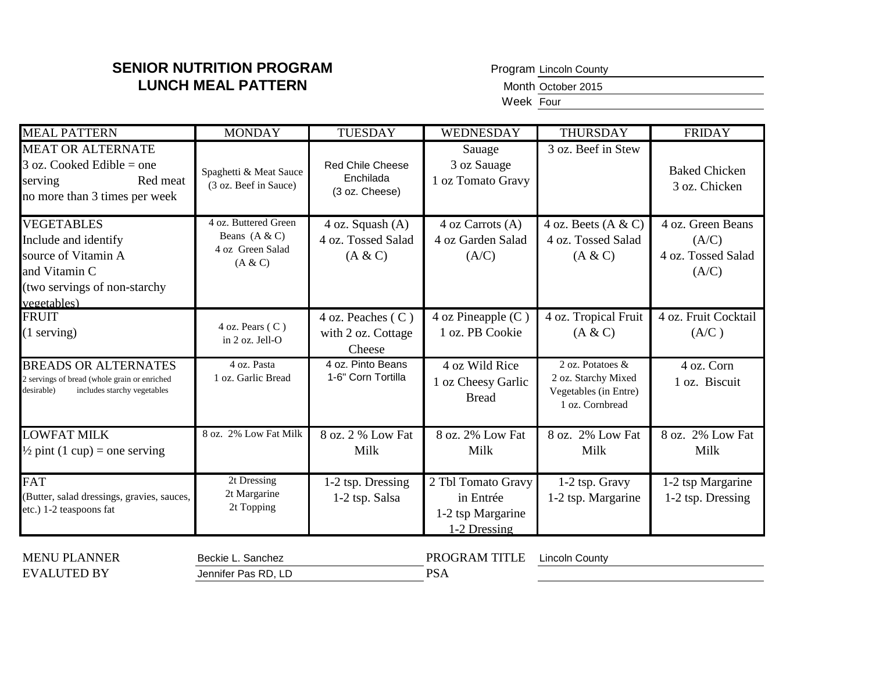Program Lincoln County

Month October 2015

Week Four

| <b>MEAL PATTERN</b>                                                                                                              | <b>MONDAY</b>                                                          | <b>TUESDAY</b>                                    | WEDNESDAY                                                            | THURSDAY                                                                            | <b>FRIDAY</b>                                             |
|----------------------------------------------------------------------------------------------------------------------------------|------------------------------------------------------------------------|---------------------------------------------------|----------------------------------------------------------------------|-------------------------------------------------------------------------------------|-----------------------------------------------------------|
| <b>MEAT OR ALTERNATE</b><br>$3$ oz. Cooked Edible = one<br>Red meat<br>serving<br>no more than 3 times per week                  | Spaghetti & Meat Sauce<br>(3 oz. Beef in Sauce)                        | Red Chile Cheese<br>Enchilada<br>(3 oz. Cheese)   | Sauage<br>3 oz Sauage<br>1 oz Tomato Gravy                           | 3 oz. Beef in Stew                                                                  | <b>Baked Chicken</b><br>3 oz. Chicken                     |
| <b>VEGETABLES</b><br>Include and identify<br>source of Vitamin A<br>and Vitamin C<br>(two servings of non-starchy<br>vegetables) | 4 oz. Buttered Green<br>Beans $(A & C)$<br>4 oz Green Salad<br>(A & C) | 4 oz. Squash (A)<br>4 oz. Tossed Salad<br>(A & C) | 4 oz Carrots (A)<br>4 oz Garden Salad<br>(A/C)                       | 4 oz. Beets $(A & C)$<br>4 oz. Tossed Salad<br>(A & C)                              | 4 oz. Green Beans<br>(A/C)<br>4 oz. Tossed Salad<br>(A/C) |
| <b>FRUIT</b><br>$(1$ serving)                                                                                                    | $4$ oz. Pears ( $C$ )<br>in 2 oz. Jell-O                               | 4 oz. Peaches (C)<br>with 2 oz. Cottage<br>Cheese | $4$ oz Pineapple (C)<br>1 oz. PB Cookie                              | 4 oz. Tropical Fruit<br>(A & C)                                                     | 4 oz. Fruit Cocktail<br>(A/C)                             |
| <b>BREADS OR ALTERNATES</b><br>2 servings of bread (whole grain or enriched<br>includes starchy vegetables<br>desirable)         | 4 oz. Pasta<br>1 oz. Garlic Bread                                      | 4 oz. Pinto Beans<br>1-6" Corn Tortilla           | 4 oz Wild Rice<br>1 oz Cheesy Garlic<br><b>Bread</b>                 | 2 oz. Potatoes &<br>2 oz. Starchy Mixed<br>Vegetables (in Entre)<br>1 oz. Cornbread | 4 oz. Corn<br>1 oz. Biscuit                               |
| <b>LOWFAT MILK</b><br>$\frac{1}{2}$ pint (1 cup) = one serving                                                                   | 8 oz. 2% Low Fat Milk                                                  | 8 oz. 2 % Low Fat<br>Milk                         | 8 oz. 2% Low Fat<br>Milk                                             | 8 oz. 2% Low Fat<br>Milk                                                            | 8 oz. 2% Low Fat<br>Milk                                  |
| <b>FAT</b><br>(Butter, salad dressings, gravies, sauces,<br>etc.) 1-2 teaspoons fat                                              | $\overline{2}t$ Dressing<br>2t Margarine<br>2t Topping                 | 1-2 tsp. Dressing<br>1-2 tsp. Salsa               | 2 Tbl Tomato Gravy<br>in Entrée<br>1-2 tsp Margarine<br>1-2 Dressing | 1-2 tsp. Gravy<br>1-2 tsp. Margarine                                                | 1-2 tsp Margarine<br>1-2 tsp. Dressing                    |
| <b>MENU PLANNER</b><br><b>EVALUTED BY</b>                                                                                        | Beckie L. Sanchez<br>Jennifer Pas RD, LD                               |                                                   | PROGRAM TITLE<br><b>PSA</b>                                          | <b>Lincoln County</b>                                                               |                                                           |